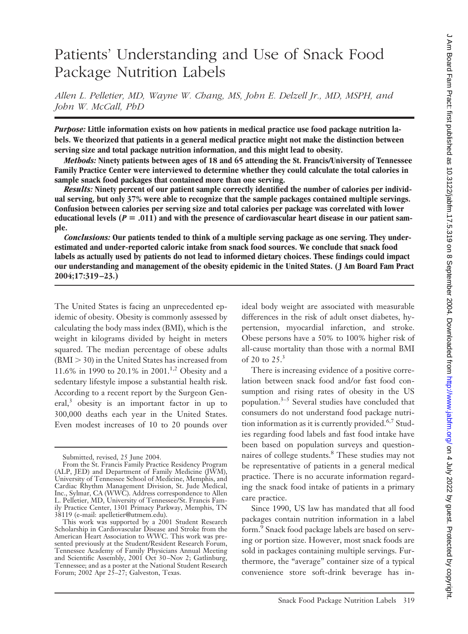# Patients' Understanding and Use of Snack Food Package Nutrition Labels

*Allen L. Pelletier, MD, Wayne W. Chang, MS, John E. Delzell Jr., MD, MSPH, and John W. McCall, PhD*

*Purpose:* **Little information exists on how patients in medical practice use food package nutrition labels. We theorized that patients in a general medical practice might not make the distinction between serving size and total package nutrition information, and this might lead to obesity.**

*Methods:* **Ninety patients between ages of 18 and 65 attending the St. Francis/University of Tennessee Family Practice Center were interviewed to determine whether they could calculate the total calories in sample snack food packages that contained more than one serving.**

*Results:* **Ninety percent of our patient sample correctly identified the number of calories per individual serving, but only 37% were able to recognize that the sample packages contained multiple servings. Confusion between calories per serving size and total calories per package was correlated with lower** educational levels ( $P = .011$ ) and with the presence of cardiovascular heart disease in our patient sam**ple.**

*Conclusions:* **Our patients tended to think of a multiple serving package as one serving. They underestimated and under-reported caloric intake from snack food sources. We conclude that snack food labels as actually used by patients do not lead to informed dietary choices. These findings could impact our understanding and management of the obesity epidemic in the United States. (J Am Board Fam Pract 2004;17:319–23.)**

The United States is facing an unprecedented epidemic of obesity. Obesity is commonly assessed by calculating the body mass index (BMI), which is the weight in kilograms divided by height in meters squared. The median percentage of obese adults  $(BMI > 30)$  in the United States has increased from 11.6% in 1990 to 20.1% in 2001.1,2 Obesity and a sedentary lifestyle impose a substantial health risk. According to a recent report by the Surgeon Gen- $\text{eral}^3$  obesity is an important factor in up to 300,000 deaths each year in the United States. Even modest increases of 10 to 20 pounds over ideal body weight are associated with measurable differences in the risk of adult onset diabetes, hypertension, myocardial infarction, and stroke. Obese persons have a 50% to 100% higher risk of all-cause mortality than those with a normal BMI of 20 to 25.3

There is increasing evidence of a positive correlation between snack food and/or fast food consumption and rising rates of obesity in the US population.3–5 Several studies have concluded that consumers do not understand food package nutrition information as it is currently provided.<sup>6,7</sup> Studies regarding food labels and fast food intake have been based on population surveys and questionnaires of college students.8 These studies may not be representative of patients in a general medical practice. There is no accurate information regarding the snack food intake of patients in a primary care practice.

Since 1990, US law has mandated that all food packages contain nutrition information in a label form.<sup>9</sup> Snack food package labels are based on serving or portion size. However, most snack foods are sold in packages containing multiple servings. Furthermore, the "average" container size of a typical convenience store soft-drink beverage has in-

Submitted, revised, 25 June 2004.

From the St. Francis Family Practice Residency Program (ALP, JED) and Department of Family Medicine (JWM), University of Tennessee School of Medicine, Memphis, and Cardiac Rhythm Management Division, St. Jude Medical, Inc., Sylmar, CA (WWC). Address correspondence to Allen L. Pelletier, MD, University of Tennessee/St. Francis Family Practice Center, 1301 Primacy Parkway, Memphis, TN 38119 (e-mail: apelletier@utmem.edu).

This work was supported by a 2001 Student Research Scholarship in Cardiovascular Disease and Stroke from the American Heart Association to WWC. This work was presented previously at the Student/Resident Research Forum, Tennessee Academy of Family Physicians Annual Meeting and Scientific Assembly, 2001 Oct 30-Nov 2; Gatlinburg, Tennessee; and as a poster at the National Student Research Forum; 2002 Apr 25–27; Galveston,Texas.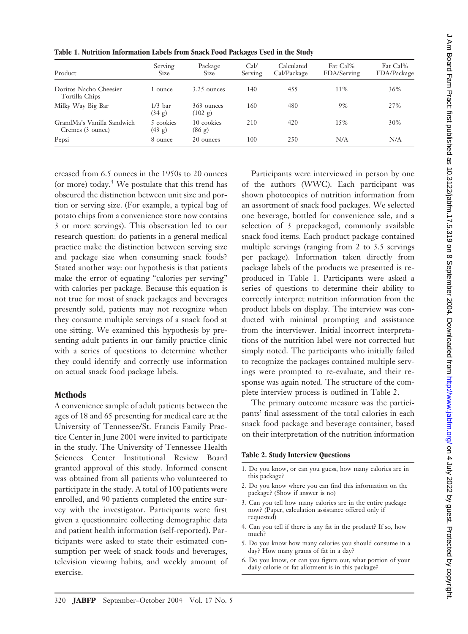|  |  | Table 1. Nutrition Information Labels from Snack Food Packages Used in the Study |  |  |  |  |  |
|--|--|----------------------------------------------------------------------------------|--|--|--|--|--|
|--|--|----------------------------------------------------------------------------------|--|--|--|--|--|

| Product                                        | Serving<br><b>Size</b>        | Package<br><b>Size</b>         | Cal/<br>Serving | Calculated<br>Cal/Package | Fat Cal%<br>FDA/Serving | Fat Cal%<br>FDA/Package |
|------------------------------------------------|-------------------------------|--------------------------------|-----------------|---------------------------|-------------------------|-------------------------|
| Doritos Nacho Cheesier<br>Tortilla Chips       | 1 ounce                       | $3.25$ ounces                  | 140             | 455                       | 11%                     | 36%                     |
| Milky Way Big Bar                              | $1/3$ bar<br>(34 g)           | 363 ounces<br>(102 g)          | 160             | 480                       | 9%                      | 27%                     |
| GrandMa's Vanilla Sandwich<br>Cremes (3 ounce) | 5 cookies<br>$(43 \text{ g})$ | 10 cookies<br>$(86 \text{ g})$ | 210             | 420                       | 15%                     | 30%                     |
| Pepsi                                          | 8 ounce                       | 20 ounces                      | 100             | 250                       | N/A                     | N/A                     |

creased from 6.5 ounces in the 1950s to 20 ounces (or more) today. $4$  We postulate that this trend has obscured the distinction between unit size and portion or serving size. (For example, a typical bag of potato chips from a convenience store now contains 3 or more servings). This observation led to our research question: do patients in a general medical practice make the distinction between serving size and package size when consuming snack foods? Stated another way: our hypothesis is that patients make the error of equating "calories per serving" with calories per package. Because this equation is not true for most of snack packages and beverages presently sold, patients may not recognize when they consume multiple servings of a snack food at one sitting. We examined this hypothesis by presenting adult patients in our family practice clinic with a series of questions to determine whether they could identify and correctly use information on actual snack food package labels.

# **Methods**

A convenience sample of adult patients between the ages of 18 and 65 presenting for medical care at the University of Tennessee/St. Francis Family Practice Center in June 2001 were invited to participate in the study. The University of Tennessee Health Sciences Center Institutional Review Board granted approval of this study. Informed consent was obtained from all patients who volunteered to participate in the study. A total of 100 patients were enrolled, and 90 patients completed the entire survey with the investigator. Participants were first given a questionnaire collecting demographic data and patient health information (self-reported). Participants were asked to state their estimated consumption per week of snack foods and beverages, television viewing habits, and weekly amount of exercise.

Participants were interviewed in person by one of the authors (WWC). Each participant was shown photocopies of nutrition information from an assortment of snack food packages. We selected one beverage, bottled for convenience sale, and a selection of 3 prepackaged, commonly available snack food items. Each product package contained multiple servings (ranging from 2 to 3.5 servings per package). Information taken directly from package labels of the products we presented is reproduced in Table 1. Participants were asked a series of questions to determine their ability to correctly interpret nutrition information from the product labels on display. The interview was conducted with minimal prompting and assistance from the interviewer. Initial incorrect interpretations of the nutrition label were not corrected but simply noted. The participants who initially failed to recognize the packages contained multiple servings were prompted to re-evaluate, and their response was again noted. The structure of the complete interview process is outlined in Table 2.

The primary outcome measure was the participants' final assessment of the total calories in each snack food package and beverage container, based on their interpretation of the nutrition information

**Table 2. Study Interview Questions**

- 1. Do you know, or can you guess, how many calories are in this package?
- 2. Do you know where you can find this information on the package? (Show if answer is no)
- 3. Can you tell how many calories are in the entire package now? (Paper, calculation assistance offered only if requested)
- 4. Can you tell if there is any fat in the product? If so, how much?
- 5. Do you know how many calories you should consume in a day? How many grams of fat in a day?
- 6. Do you know, or can you figure out, what portion of your daily calorie or fat allotment is in this package?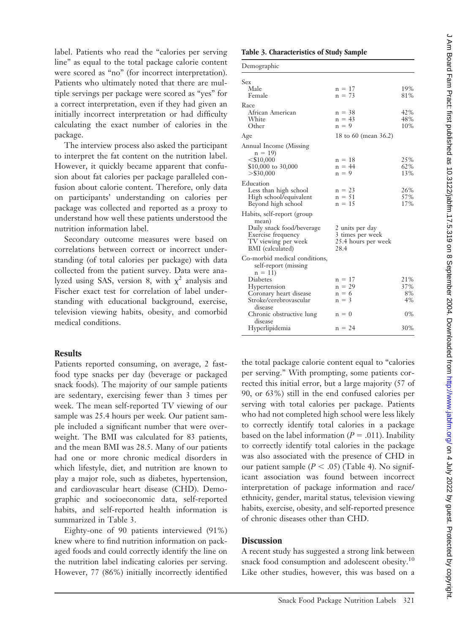label. Patients who read the "calories per serving line" as equal to the total package calorie content were scored as "no" (for incorrect interpretation). Patients who ultimately noted that there are multiple servings per package were scored as "yes" for a correct interpretation, even if they had given an initially incorrect interpretation or had difficulty calculating the exact number of calories in the package.

The interview process also asked the participant to interpret the fat content on the nutrition label. However, it quickly became apparent that confusion about fat calories per package paralleled confusion about calorie content. Therefore, only data on participants' understanding on calories per package was collected and reported as a proxy to understand how well these patients understood the nutrition information label.

Secondary outcome measures were based on correlations between correct or incorrect understanding (of total calories per package) with data collected from the patient survey. Data were analyzed using SAS, version 8, with  $\chi^2$  analysis and Fischer exact test for correlation of label understanding with educational background, exercise, television viewing habits, obesity, and comorbid medical conditions.

# **Results**

Patients reported consuming, on average, 2 fastfood type snacks per day (beverage or packaged snack foods). The majority of our sample patients are sedentary, exercising fewer than 3 times per week. The mean self-reported TV viewing of our sample was 25.4 hours per week. Our patient sample included a significant number that were overweight. The BMI was calculated for 83 patients, and the mean BMI was 28.5. Many of our patients had one or more chronic medical disorders in which lifestyle, diet, and nutrition are known to play a major role, such as diabetes, hypertension, and cardiovascular heart disease (CHD). Demographic and socioeconomic data, self-reported habits, and self-reported health information is summarized in Table 3.

Eighty-one of 90 patients interviewed (91%) knew where to find nutrition information on packaged foods and could correctly identify the line on the nutrition label indicating calories per serving. However,77 (86%) initially incorrectly identified

#### **Table 3. Characteristics of Study Sample**

| Demographic                                           |                      |            |
|-------------------------------------------------------|----------------------|------------|
|                                                       |                      |            |
| Sex                                                   |                      |            |
| Male<br>Female                                        | $n = 17$<br>$n = 73$ | 19%<br>81% |
|                                                       |                      |            |
| Race                                                  |                      |            |
| African American<br>White                             | $n = 38$<br>$n = 43$ | 42%<br>48% |
| Other                                                 | $n = 9$              | 10%        |
|                                                       |                      |            |
| Age                                                   | 18 to 60 (mean 36.2) |            |
| Annual Income (Missing)<br>$n = 19$                   |                      |            |
| $<$ \$10,000                                          | $n = 18$             | 25%        |
| \$10,000 to 30,000                                    | $n = 44$             | 62%        |
| $>$ \$30,000                                          | $n = 9$              | 13%        |
| Education                                             |                      |            |
| Less than high school                                 | $n = 23$             | 26%        |
| High school/equivalent                                | $n = 51$             | 57%        |
| Beyond high school                                    | $n = 15$             | 17%        |
| Habits, self-report (group<br>mean)                   |                      |            |
| Daily snack food/beverage                             | 2 units per day      |            |
| Exercise frequency                                    | 3 times per week     |            |
| TV viewing per week                                   | 25.4 hours per week  |            |
| BMI (calculated)                                      | 28.4                 |            |
| Co-morbid medical conditions,<br>self-report (missing |                      |            |
| $n = 11$                                              |                      |            |
| Diabetes                                              | $n = 17$             | 21%        |
| Hypertension                                          | $n = 29$<br>$n = 6$  | 37%<br>8%  |
| Coronary heart disease<br>Stroke/cerebrovascular      | $n = 3$              | 4%         |
| disease                                               |                      |            |
| Chronic obstructive lung                              | $n = 0$              | 0%         |
| disease                                               |                      |            |
| Hyperlipidemia                                        | $n = 24$             | 30%        |

the total package calorie content equal to "calories per serving." With prompting, some patients corrected this initial error, but a large majority (57 of 90,or 63%) still in the end confused calories per serving with total calories per package. Patients who had not completed high school were less likely to correctly identify total calories in a package based on the label information  $(P = .011)$ . Inability to correctly identify total calories in the package was also associated with the presence of CHD in our patient sample  $(P < .05)$  (Table 4). No significant association was found between incorrect interpretation of package information and race/ ethnicity, gender, marital status, television viewing habits, exercise, obesity, and self-reported presence of chronic diseases other than CHD.

# **Discussion**

A recent study has suggested a strong link between snack food consumption and adolescent obesity.<sup>10</sup> Like other studies, however, this was based on a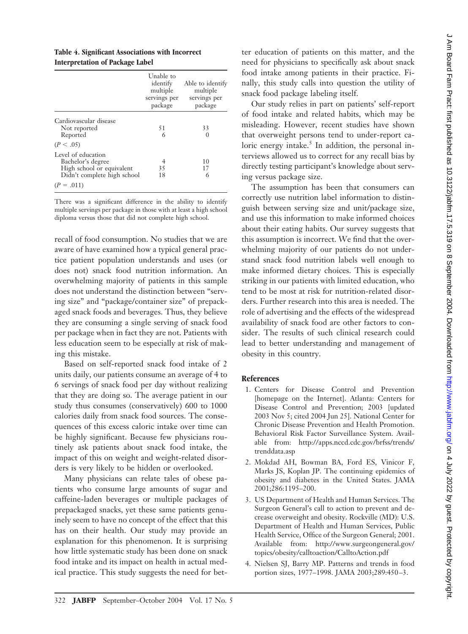| Table 4. Significant Associations with Incorrect |  |
|--------------------------------------------------|--|
| <b>Interpretation of Package Label</b>           |  |

| Unable to<br>identify<br>multiple<br>servings per<br>package | Able to identify<br>multiple<br>servings per<br>package |
|--------------------------------------------------------------|---------------------------------------------------------|
| 51<br>6                                                      | 33<br>$\left( \right)$                                  |
|                                                              |                                                         |
| 35<br>18                                                     | 10<br>17<br>6                                           |
|                                                              |                                                         |

There was a significant difference in the ability to identify multiple servings per package in those with at least a high school diploma versus those that did not complete high school.

recall of food consumption. No studies that we are aware of have examined how a typical general practice patient population understands and uses (or does not) snack food nutrition information. An overwhelming majority of patients in this sample does not understand the distinction between "serving size" and "package/container size" of prepackaged snack foods and beverages. Thus, they believe they are consuming a single serving of snack food per package when in fact they are not. Patients with less education seem to be especially at risk of making this mistake.

Based on self-reported snack food intake of 2 units daily, our patients consume an average of 4 to 6 servings of snack food per day without realizing that they are doing so. The average patient in our study thus consumes (conservatively) 600 to 1000 calories daily from snack food sources. The consequences of this excess caloric intake over time can be highly significant. Because few physicians routinely ask patients about snack food intake, the impact of this on weight and weight-related disorders is very likely to be hidden or overlooked.

Many physicians can relate tales of obese patients who consume large amounts of sugar and caffeine-laden beverages or multiple packages of prepackaged snacks, yet these same patients genuinely seem to have no concept of the effect that this has on their health. Our study may provide an explanation for this phenomenon. It is surprising how little systematic study has been done on snack food intake and its impact on health in actual medical practice. This study suggests the need for better education of patients on this matter, and the need for physicians to specifically ask about snack food intake among patients in their practice. Finally, this study calls into question the utility of snack food package labeling itself.

Our study relies in part on patients' self-report of food intake and related habits, which may be misleading. However, recent studies have shown that overweight persons tend to under-report caloric energy intake.<sup>5</sup> In addition, the personal interviews allowed us to correct for any recall bias by directly testing participant's knowledge about serving versus package size.

The assumption has been that consumers can correctly use nutrition label information to distinguish between serving size and unit/package size, and use this information to make informed choices about their eating habits. Our survey suggests that this assumption is incorrect. We find that the overwhelming majority of our patients do not understand snack food nutrition labels well enough to make informed dietary choices. This is especially striking in our patients with limited education, who tend to be most at risk for nutrition-related disorders. Further research into this area is needed. The role of advertising and the effects of the widespread availability of snack food are other factors to consider. The results of such clinical research could lead to better understanding and management of obesity in this country.

# **References**

- 1. Centers for Disease Control and Prevention [homepage on the Internet]. Atlanta: Centers for Disease Control and Prevention; 2003 [updated 2003 Nov 5; cited 2004 Jun 25]. National Center for Chronic Disease Prevention and Health Promotion. Behavioral Risk Factor Surveillance System. Available from: http://apps.nccd.cdc.gov/brfss/trends/ trenddata.asp
- 2. Mokdad AH, Bowman BA, Ford ES, Vinicor F, Marks JS, Koplan JP. The continuing epidemics of obesity and diabetes in the United States. JAMA 2001;286:1195–200.
- 3. US Department of Health and Human Services. The Surgeon General's call to action to prevent and decrease overweight and obesity. Rockville (MD): U.S. Department of Health and Human Services, Public Health Service, Office of the Surgeon General; 2001. Available from: http://www.surgeongeneral.gov/ topics/obesity/calltoaction/CalltoAction.pdf
- 4. Nielsen SJ, Barry MP. Patterns and trends in food portion sizes, 1977–1998. JAMA 2003;289:450-3.